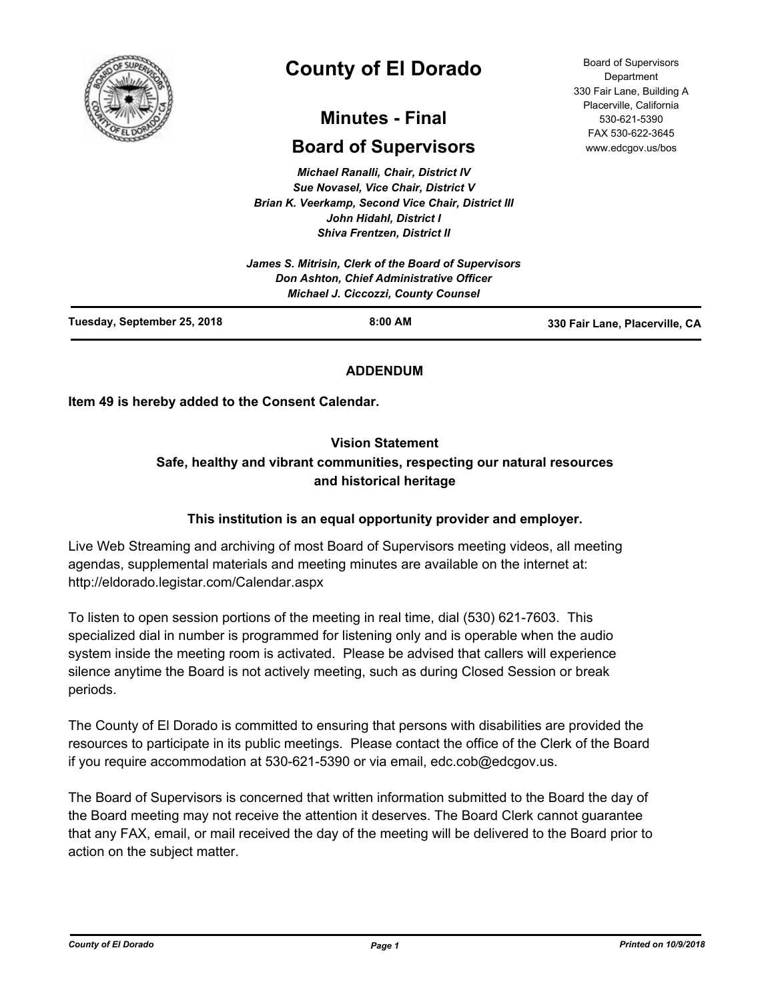

# **County of El Dorado**

# **Minutes - Final**

# **Board of Supervisors**

*Michael Ranalli, Chair, District IV Sue Novasel, Vice Chair, District V Brian K. Veerkamp, Second Vice Chair, District III John Hidahl, District I Shiva Frentzen, District II*

|                             | Don Ashton, Chief Administrative Officer<br><b>Michael J. Ciccozzi, County Counsel</b> |                                |
|-----------------------------|----------------------------------------------------------------------------------------|--------------------------------|
| Tuesday, September 25, 2018 | $8:00$ AM                                                                              | 330 Fair Lane, Placerville, CA |

## **ADDENDUM**

**Item 49 is hereby added to the Consent Calendar.**

## **Vision Statement**

## **Safe, healthy and vibrant communities, respecting our natural resources and historical heritage**

#### **This institution is an equal opportunity provider and employer.**

Live Web Streaming and archiving of most Board of Supervisors meeting videos, all meeting agendas, supplemental materials and meeting minutes are available on the internet at: http://eldorado.legistar.com/Calendar.aspx

To listen to open session portions of the meeting in real time, dial (530) 621-7603. This specialized dial in number is programmed for listening only and is operable when the audio system inside the meeting room is activated. Please be advised that callers will experience silence anytime the Board is not actively meeting, such as during Closed Session or break periods.

The County of El Dorado is committed to ensuring that persons with disabilities are provided the resources to participate in its public meetings. Please contact the office of the Clerk of the Board if you require accommodation at 530-621-5390 or via email, edc.cob@edcgov.us.

The Board of Supervisors is concerned that written information submitted to the Board the day of the Board meeting may not receive the attention it deserves. The Board Clerk cannot guarantee that any FAX, email, or mail received the day of the meeting will be delivered to the Board prior to action on the subject matter.

Board of Supervisors Department 330 Fair Lane, Building A Placerville, California 530-621-5390 FAX 530-622-3645 www.edcgov.us/bos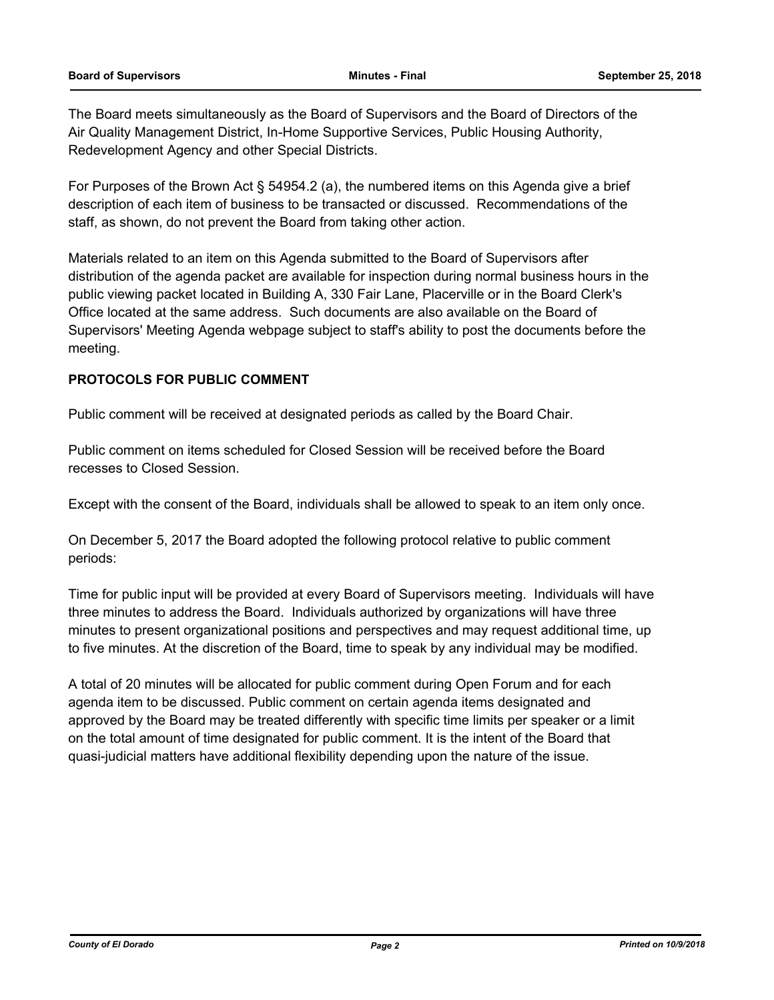The Board meets simultaneously as the Board of Supervisors and the Board of Directors of the Air Quality Management District, In-Home Supportive Services, Public Housing Authority, Redevelopment Agency and other Special Districts.

For Purposes of the Brown Act § 54954.2 (a), the numbered items on this Agenda give a brief description of each item of business to be transacted or discussed. Recommendations of the staff, as shown, do not prevent the Board from taking other action.

Materials related to an item on this Agenda submitted to the Board of Supervisors after distribution of the agenda packet are available for inspection during normal business hours in the public viewing packet located in Building A, 330 Fair Lane, Placerville or in the Board Clerk's Office located at the same address. Such documents are also available on the Board of Supervisors' Meeting Agenda webpage subject to staff's ability to post the documents before the meeting.

#### **PROTOCOLS FOR PUBLIC COMMENT**

Public comment will be received at designated periods as called by the Board Chair.

Public comment on items scheduled for Closed Session will be received before the Board recesses to Closed Session.

Except with the consent of the Board, individuals shall be allowed to speak to an item only once.

On December 5, 2017 the Board adopted the following protocol relative to public comment periods:

Time for public input will be provided at every Board of Supervisors meeting. Individuals will have three minutes to address the Board. Individuals authorized by organizations will have three minutes to present organizational positions and perspectives and may request additional time, up to five minutes. At the discretion of the Board, time to speak by any individual may be modified.

A total of 20 minutes will be allocated for public comment during Open Forum and for each agenda item to be discussed. Public comment on certain agenda items designated and approved by the Board may be treated differently with specific time limits per speaker or a limit on the total amount of time designated for public comment. It is the intent of the Board that quasi-judicial matters have additional flexibility depending upon the nature of the issue.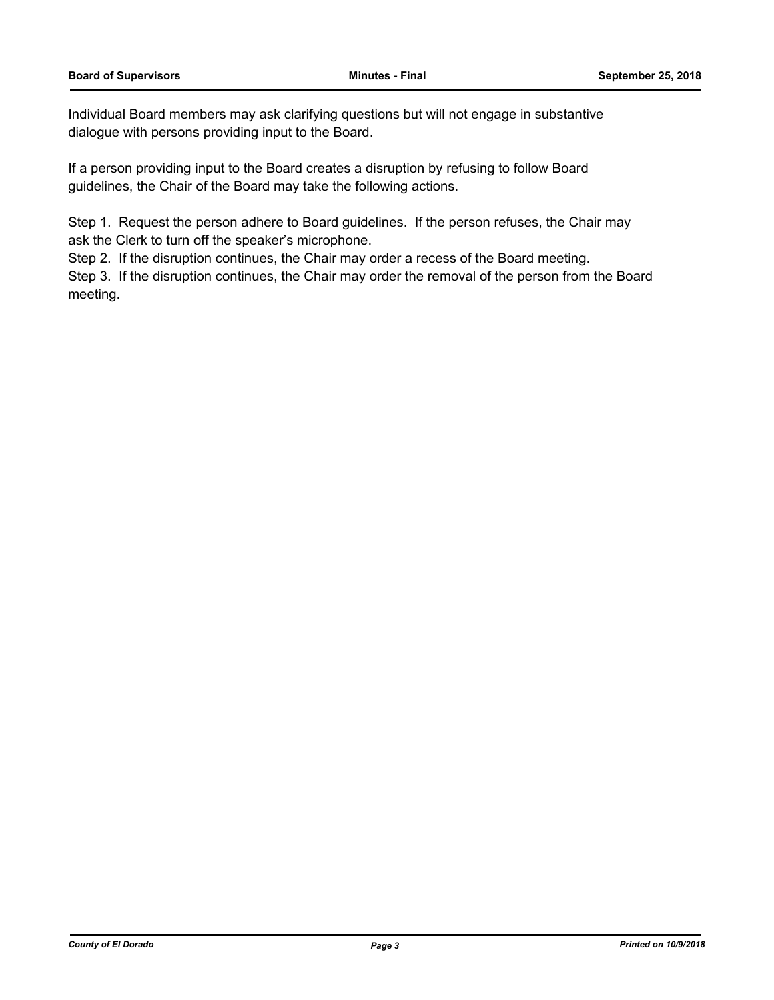Individual Board members may ask clarifying questions but will not engage in substantive dialogue with persons providing input to the Board.

If a person providing input to the Board creates a disruption by refusing to follow Board guidelines, the Chair of the Board may take the following actions.

Step 1. Request the person adhere to Board guidelines. If the person refuses, the Chair may ask the Clerk to turn off the speaker's microphone.

Step 2. If the disruption continues, the Chair may order a recess of the Board meeting.

Step 3. If the disruption continues, the Chair may order the removal of the person from the Board meeting.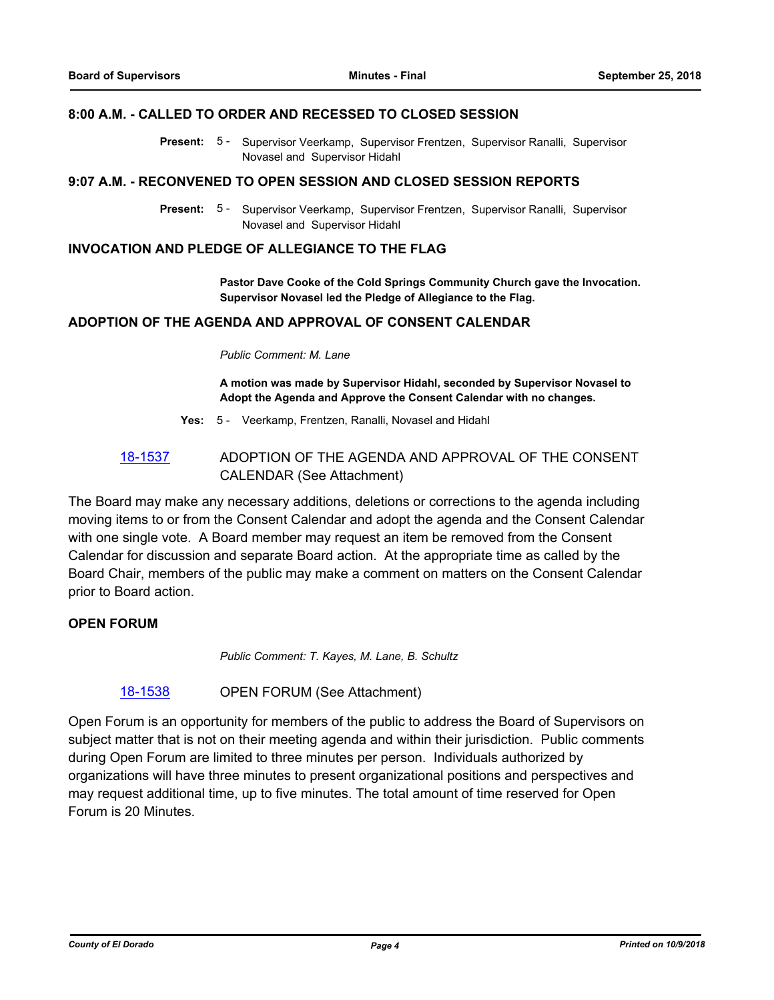#### **8:00 A.M. - CALLED TO ORDER AND RECESSED TO CLOSED SESSION**

Present: 5 - Supervisor Veerkamp, Supervisor Frentzen, Supervisor Ranalli, Supervisor Novasel and Supervisor Hidahl

#### **9:07 A.M. - RECONVENED TO OPEN SESSION AND CLOSED SESSION REPORTS**

Present: 5 - Supervisor Veerkamp, Supervisor Frentzen, Supervisor Ranalli, Supervisor Novasel and Supervisor Hidahl

#### **INVOCATION AND PLEDGE OF ALLEGIANCE TO THE FLAG**

**Pastor Dave Cooke of the Cold Springs Community Church gave the Invocation. Supervisor Novasel led the Pledge of Allegiance to the Flag.**

#### **ADOPTION OF THE AGENDA AND APPROVAL OF CONSENT CALENDAR**

#### *Public Comment: M. Lane*

**A motion was made by Supervisor Hidahl, seconded by Supervisor Novasel to Adopt the Agenda and Approve the Consent Calendar with no changes.**

- **Yes:** 5 Veerkamp, Frentzen, Ranalli, Novasel and Hidahl
- [18-1537](http://eldorado.legistar.com/gateway.aspx?m=l&id=/matter.aspx?key=24888) ADOPTION OF THE AGENDA AND APPROVAL OF THE CONSENT CALENDAR (See Attachment)

The Board may make any necessary additions, deletions or corrections to the agenda including moving items to or from the Consent Calendar and adopt the agenda and the Consent Calendar with one single vote. A Board member may request an item be removed from the Consent Calendar for discussion and separate Board action. At the appropriate time as called by the Board Chair, members of the public may make a comment on matters on the Consent Calendar prior to Board action.

#### **OPEN FORUM**

*Public Comment: T. Kayes, M. Lane, B. Schultz*

[18-1538](http://eldorado.legistar.com/gateway.aspx?m=l&id=/matter.aspx?key=24889) OPEN FORUM (See Attachment)

Open Forum is an opportunity for members of the public to address the Board of Supervisors on subject matter that is not on their meeting agenda and within their jurisdiction. Public comments during Open Forum are limited to three minutes per person. Individuals authorized by organizations will have three minutes to present organizational positions and perspectives and may request additional time, up to five minutes. The total amount of time reserved for Open Forum is 20 Minutes.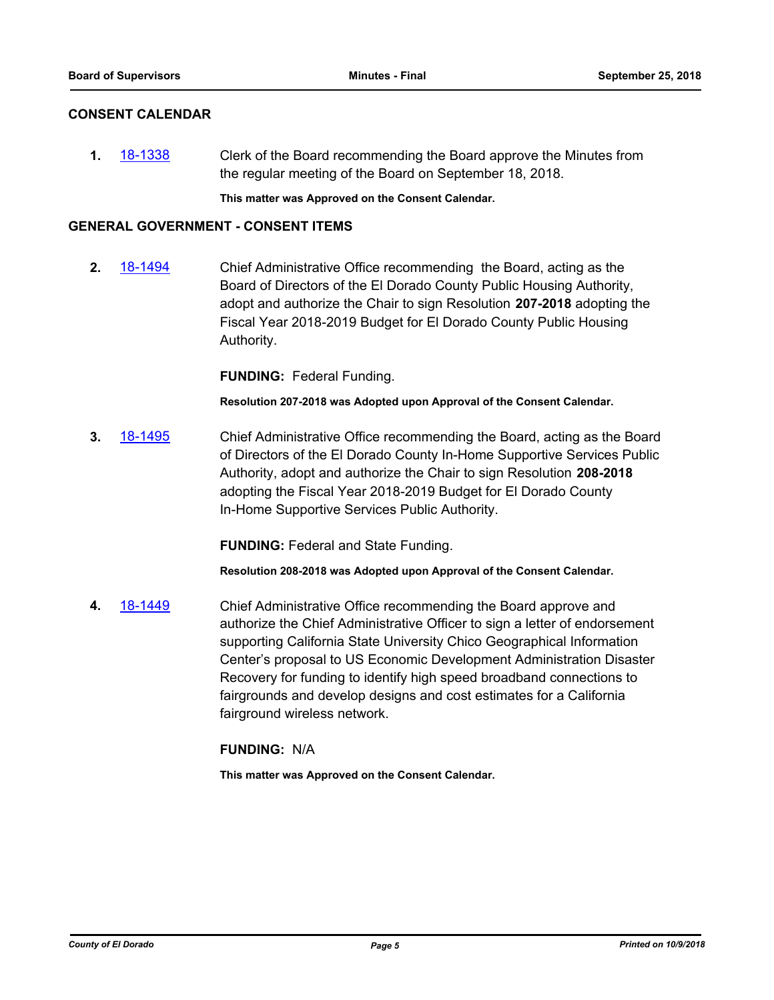#### **CONSENT CALENDAR**

**1.** [18-1338](http://eldorado.legistar.com/gateway.aspx?m=l&id=/matter.aspx?key=24689) Clerk of the Board recommending the Board approve the Minutes from the regular meeting of the Board on September 18, 2018.

**This matter was Approved on the Consent Calendar.**

#### **GENERAL GOVERNMENT - CONSENT ITEMS**

**2.** [18-1494](http://eldorado.legistar.com/gateway.aspx?m=l&id=/matter.aspx?key=24845) Chief Administrative Office recommending the Board, acting as the Board of Directors of the El Dorado County Public Housing Authority, adopt and authorize the Chair to sign Resolution **207-2018** adopting the Fiscal Year 2018-2019 Budget for El Dorado County Public Housing Authority.

**FUNDING:** Federal Funding.

**Resolution 207-2018 was Adopted upon Approval of the Consent Calendar.**

**3.** [18-1495](http://eldorado.legistar.com/gateway.aspx?m=l&id=/matter.aspx?key=24846) Chief Administrative Office recommending the Board, acting as the Board of Directors of the El Dorado County In-Home Supportive Services Public Authority, adopt and authorize the Chair to sign Resolution **208-2018**  adopting the Fiscal Year 2018-2019 Budget for El Dorado County In-Home Supportive Services Public Authority.

**FUNDING:** Federal and State Funding.

**Resolution 208-2018 was Adopted upon Approval of the Consent Calendar.**

**4.** [18-1449](http://eldorado.legistar.com/gateway.aspx?m=l&id=/matter.aspx?key=24801) Chief Administrative Office recommending the Board approve and authorize the Chief Administrative Officer to sign a letter of endorsement supporting California State University Chico Geographical Information Center's proposal to US Economic Development Administration Disaster Recovery for funding to identify high speed broadband connections to fairgrounds and develop designs and cost estimates for a California fairground wireless network.

#### **FUNDING:** N/A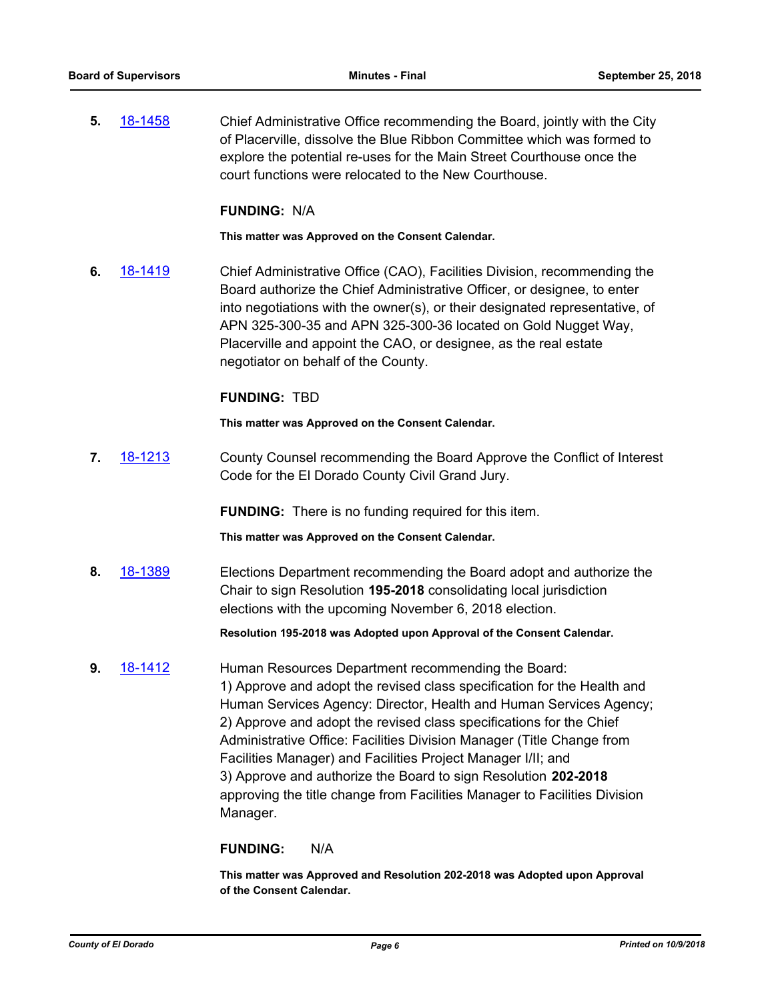**5.** [18-1458](http://eldorado.legistar.com/gateway.aspx?m=l&id=/matter.aspx?key=24810) Chief Administrative Office recommending the Board, jointly with the City of Placerville, dissolve the Blue Ribbon Committee which was formed to explore the potential re-uses for the Main Street Courthouse once the court functions were relocated to the New Courthouse.

#### **FUNDING:** N/A

**This matter was Approved on the Consent Calendar.**

**6.** [18-1419](http://eldorado.legistar.com/gateway.aspx?m=l&id=/matter.aspx?key=24771) Chief Administrative Office (CAO), Facilities Division, recommending the Board authorize the Chief Administrative Officer, or designee, to enter into negotiations with the owner(s), or their designated representative, of APN 325-300-35 and APN 325-300-36 located on Gold Nugget Way, Placerville and appoint the CAO, or designee, as the real estate negotiator on behalf of the County.

#### **FUNDING:** TBD

**This matter was Approved on the Consent Calendar.**

**7.** [18-1213](http://eldorado.legistar.com/gateway.aspx?m=l&id=/matter.aspx?key=24564) County Counsel recommending the Board Approve the Conflict of Interest Code for the El Dorado County Civil Grand Jury.

**FUNDING:** There is no funding required for this item.

**This matter was Approved on the Consent Calendar.**

**8.** [18-1389](http://eldorado.legistar.com/gateway.aspx?m=l&id=/matter.aspx?key=24741) Elections Department recommending the Board adopt and authorize the Chair to sign Resolution **195-2018** consolidating local jurisdiction elections with the upcoming November 6, 2018 election.

**Resolution 195-2018 was Adopted upon Approval of the Consent Calendar.**

**9.** [18-1412](http://eldorado.legistar.com/gateway.aspx?m=l&id=/matter.aspx?key=24764) Human Resources Department recommending the Board: 1) Approve and adopt the revised class specification for the Health and Human Services Agency: Director, Health and Human Services Agency; 2) Approve and adopt the revised class specifications for the Chief Administrative Office: Facilities Division Manager (Title Change from Facilities Manager) and Facilities Project Manager I/II; and 3) Approve and authorize the Board to sign Resolution **202-2018** approving the title change from Facilities Manager to Facilities Division Manager.

#### **FUNDING:** N/A

**This matter was Approved and Resolution 202-2018 was Adopted upon Approval of the Consent Calendar.**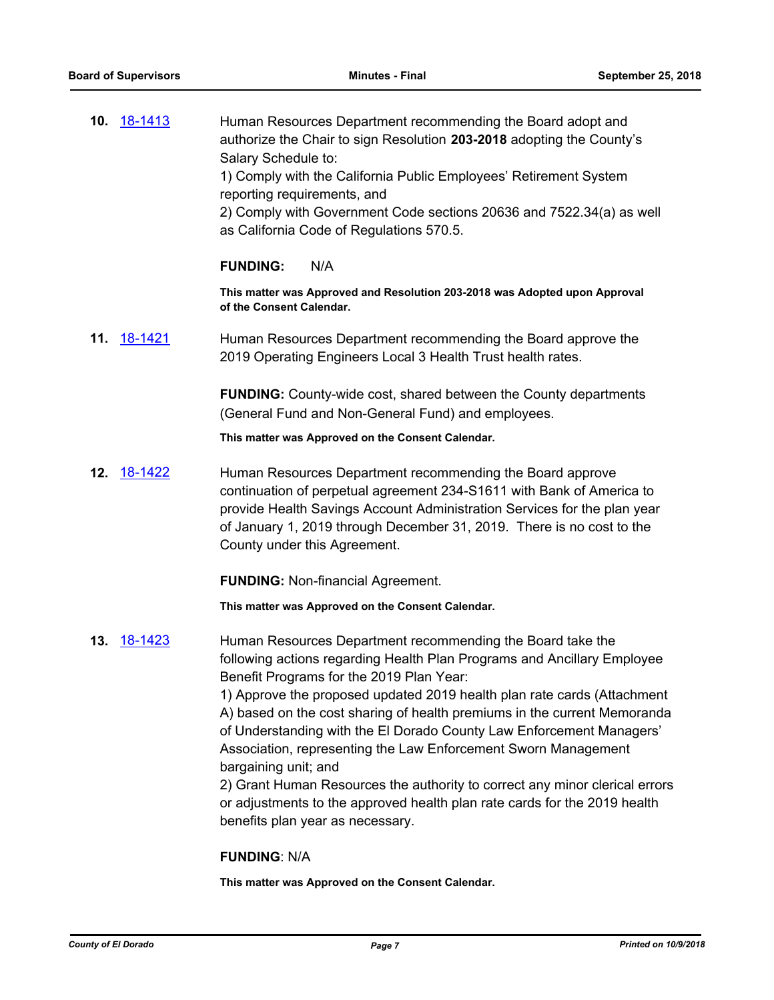**10.** [18-1413](http://eldorado.legistar.com/gateway.aspx?m=l&id=/matter.aspx?key=24765) Human Resources Department recommending the Board adopt and authorize the Chair to sign Resolution **203-2018** adopting the County's Salary Schedule to: 1) Comply with the California Public Employees' Retirement System reporting requirements, and 2) Comply with Government Code sections 20636 and 7522.34(a) as well as California Code of Regulations 570.5.

#### **FUNDING:** N/A

**This matter was Approved and Resolution 203-2018 was Adopted upon Approval of the Consent Calendar.**

**11.** [18-1421](http://eldorado.legistar.com/gateway.aspx?m=l&id=/matter.aspx?key=24773) Human Resources Department recommending the Board approve the 2019 Operating Engineers Local 3 Health Trust health rates.

> **FUNDING:** County-wide cost, shared between the County departments (General Fund and Non-General Fund) and employees.

**This matter was Approved on the Consent Calendar.**

**12.** [18-1422](http://eldorado.legistar.com/gateway.aspx?m=l&id=/matter.aspx?key=24774) Human Resources Department recommending the Board approve continuation of perpetual agreement 234-S1611 with Bank of America to provide Health Savings Account Administration Services for the plan year of January 1, 2019 through December 31, 2019. There is no cost to the County under this Agreement.

**FUNDING:** Non-financial Agreement.

**This matter was Approved on the Consent Calendar.**

**13.** [18-1423](http://eldorado.legistar.com/gateway.aspx?m=l&id=/matter.aspx?key=24775) Human Resources Department recommending the Board take the following actions regarding Health Plan Programs and Ancillary Employee Benefit Programs for the 2019 Plan Year:

> 1) Approve the proposed updated 2019 health plan rate cards (Attachment A) based on the cost sharing of health premiums in the current Memoranda of Understanding with the El Dorado County Law Enforcement Managers' Association, representing the Law Enforcement Sworn Management bargaining unit; and

> 2) Grant Human Resources the authority to correct any minor clerical errors or adjustments to the approved health plan rate cards for the 2019 health benefits plan year as necessary.

#### **FUNDING**: N/A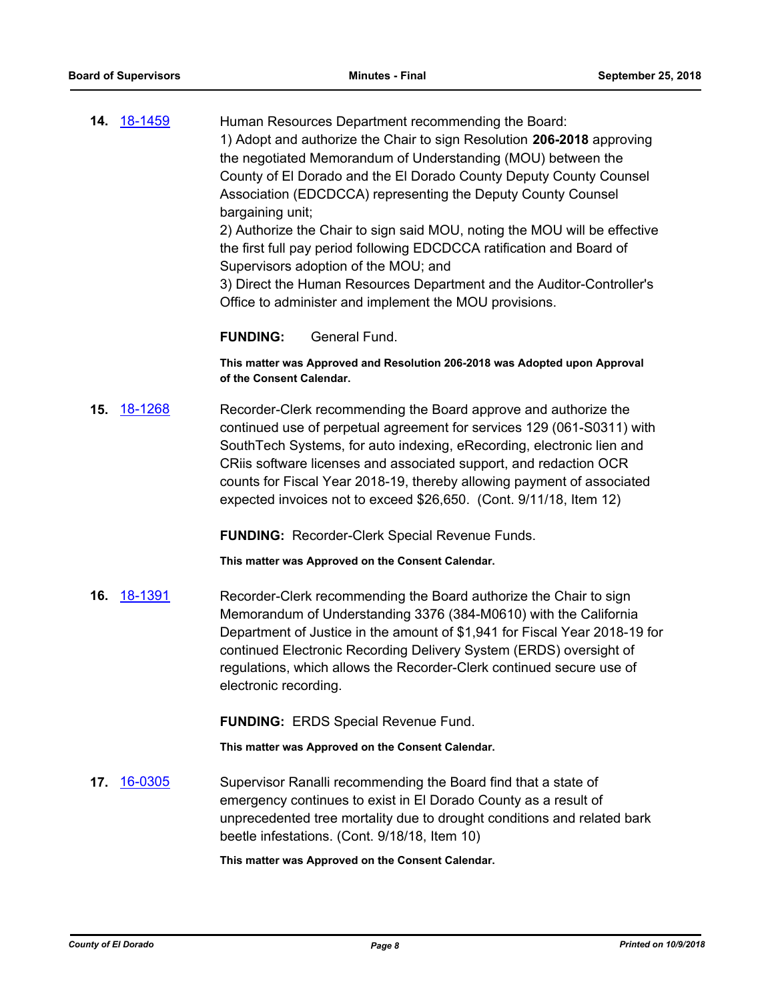**14.** [18-1459](http://eldorado.legistar.com/gateway.aspx?m=l&id=/matter.aspx?key=24811) Human Resources Department recommending the Board: 1) Adopt and authorize the Chair to sign Resolution **206-2018** approving the negotiated Memorandum of Understanding (MOU) between the County of El Dorado and the El Dorado County Deputy County Counsel Association (EDCDCCA) representing the Deputy County Counsel bargaining unit;

2) Authorize the Chair to sign said MOU, noting the MOU will be effective the first full pay period following EDCDCCA ratification and Board of Supervisors adoption of the MOU; and

3) Direct the Human Resources Department and the Auditor-Controller's Office to administer and implement the MOU provisions.

#### **FUNDING:** General Fund.

**This matter was Approved and Resolution 206-2018 was Adopted upon Approval of the Consent Calendar.**

**15.** [18-1268](http://eldorado.legistar.com/gateway.aspx?m=l&id=/matter.aspx?key=24619) Recorder-Clerk recommending the Board approve and authorize the continued use of perpetual agreement for services 129 (061-S0311) with SouthTech Systems, for auto indexing, eRecording, electronic lien and CRiis software licenses and associated support, and redaction OCR counts for Fiscal Year 2018-19, thereby allowing payment of associated expected invoices not to exceed \$26,650. (Cont. 9/11/18, Item 12)

**FUNDING:** Recorder-Clerk Special Revenue Funds.

**This matter was Approved on the Consent Calendar.**

**16.** [18-1391](http://eldorado.legistar.com/gateway.aspx?m=l&id=/matter.aspx?key=24743) Recorder-Clerk recommending the Board authorize the Chair to sign Memorandum of Understanding 3376 (384-M0610) with the California Department of Justice in the amount of \$1,941 for Fiscal Year 2018-19 for continued Electronic Recording Delivery System (ERDS) oversight of regulations, which allows the Recorder-Clerk continued secure use of electronic recording.

**FUNDING:** ERDS Special Revenue Fund.

**This matter was Approved on the Consent Calendar.**

**17.** [16-0305](http://eldorado.legistar.com/gateway.aspx?m=l&id=/matter.aspx?key=20961) Supervisor Ranalli recommending the Board find that a state of emergency continues to exist in El Dorado County as a result of unprecedented tree mortality due to drought conditions and related bark beetle infestations. (Cont. 9/18/18, Item 10)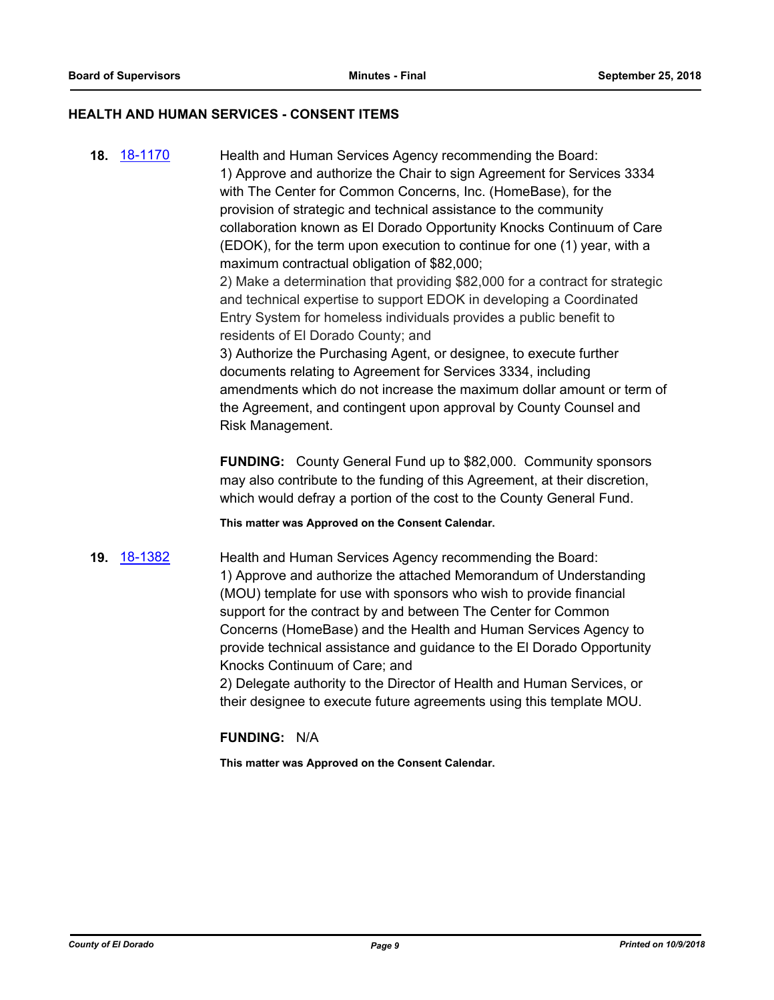#### **HEALTH AND HUMAN SERVICES - CONSENT ITEMS**

**18.** [18-1170](http://eldorado.legistar.com/gateway.aspx?m=l&id=/matter.aspx?key=24520) Health and Human Services Agency recommending the Board: 1) Approve and authorize the Chair to sign Agreement for Services 3334 with The Center for Common Concerns, Inc. (HomeBase), for the provision of strategic and technical assistance to the community collaboration known as El Dorado Opportunity Knocks Continuum of Care (EDOK), for the term upon execution to continue for one (1) year, with a maximum contractual obligation of \$82,000; 2) Make a determination that providing \$82,000 for a contract for strategic

and technical expertise to support EDOK in developing a Coordinated Entry System for homeless individuals provides a public benefit to residents of El Dorado County; and

3) Authorize the Purchasing Agent, or designee, to execute further documents relating to Agreement for Services 3334, including amendments which do not increase the maximum dollar amount or term of the Agreement, and contingent upon approval by County Counsel and Risk Management.

**FUNDING:** County General Fund up to \$82,000. Community sponsors may also contribute to the funding of this Agreement, at their discretion, which would defray a portion of the cost to the County General Fund.

**This matter was Approved on the Consent Calendar.**

**19.** [18-1382](http://eldorado.legistar.com/gateway.aspx?m=l&id=/matter.aspx?key=24734) Health and Human Services Agency recommending the Board: 1) Approve and authorize the attached Memorandum of Understanding (MOU) template for use with sponsors who wish to provide financial support for the contract by and between The Center for Common Concerns (HomeBase) and the Health and Human Services Agency to provide technical assistance and guidance to the El Dorado Opportunity Knocks Continuum of Care; and

> 2) Delegate authority to the Director of Health and Human Services, or their designee to execute future agreements using this template MOU.

#### **FUNDING:** N/A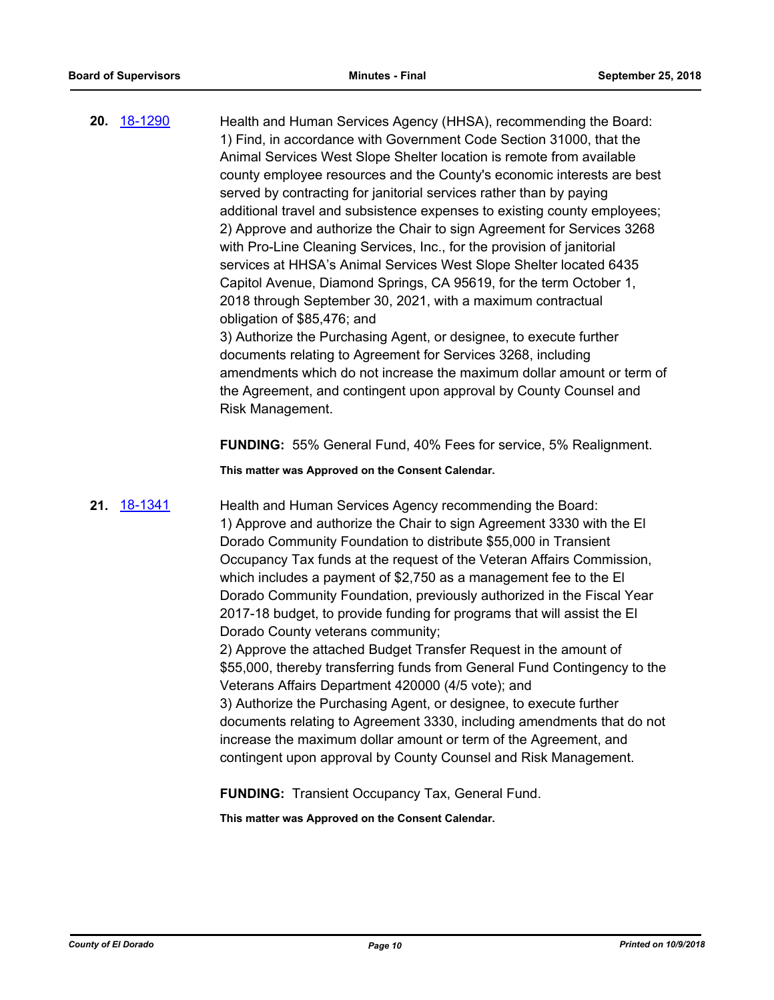**20.** [18-1290](http://eldorado.legistar.com/gateway.aspx?m=l&id=/matter.aspx?key=24641) Health and Human Services Agency (HHSA), recommending the Board: 1) Find, in accordance with Government Code Section 31000, that the Animal Services West Slope Shelter location is remote from available county employee resources and the County's economic interests are best served by contracting for janitorial services rather than by paying additional travel and subsistence expenses to existing county employees; 2) Approve and authorize the Chair to sign Agreement for Services 3268 with Pro-Line Cleaning Services, Inc., for the provision of janitorial services at HHSA's Animal Services West Slope Shelter located 6435 Capitol Avenue, Diamond Springs, CA 95619, for the term October 1, 2018 through September 30, 2021, with a maximum contractual obligation of \$85,476; and 3) Authorize the Purchasing Agent, or designee, to execute further documents relating to Agreement for Services 3268, including amendments which do not increase the maximum dollar amount or term of the Agreement, and contingent upon approval by County Counsel and Risk Management.

**FUNDING:** 55% General Fund, 40% Fees for service, 5% Realignment.

**This matter was Approved on the Consent Calendar.**

**21.** [18-1341](http://eldorado.legistar.com/gateway.aspx?m=l&id=/matter.aspx?key=24692) Health and Human Services Agency recommending the Board: 1) Approve and authorize the Chair to sign Agreement 3330 with the El Dorado Community Foundation to distribute \$55,000 in Transient Occupancy Tax funds at the request of the Veteran Affairs Commission, which includes a payment of \$2,750 as a management fee to the El Dorado Community Foundation, previously authorized in the Fiscal Year 2017-18 budget, to provide funding for programs that will assist the El Dorado County veterans community;

> 2) Approve the attached Budget Transfer Request in the amount of \$55,000, thereby transferring funds from General Fund Contingency to the Veterans Affairs Department 420000 (4/5 vote); and

> 3) Authorize the Purchasing Agent, or designee, to execute further documents relating to Agreement 3330, including amendments that do not increase the maximum dollar amount or term of the Agreement, and contingent upon approval by County Counsel and Risk Management.

**FUNDING:** Transient Occupancy Tax, General Fund.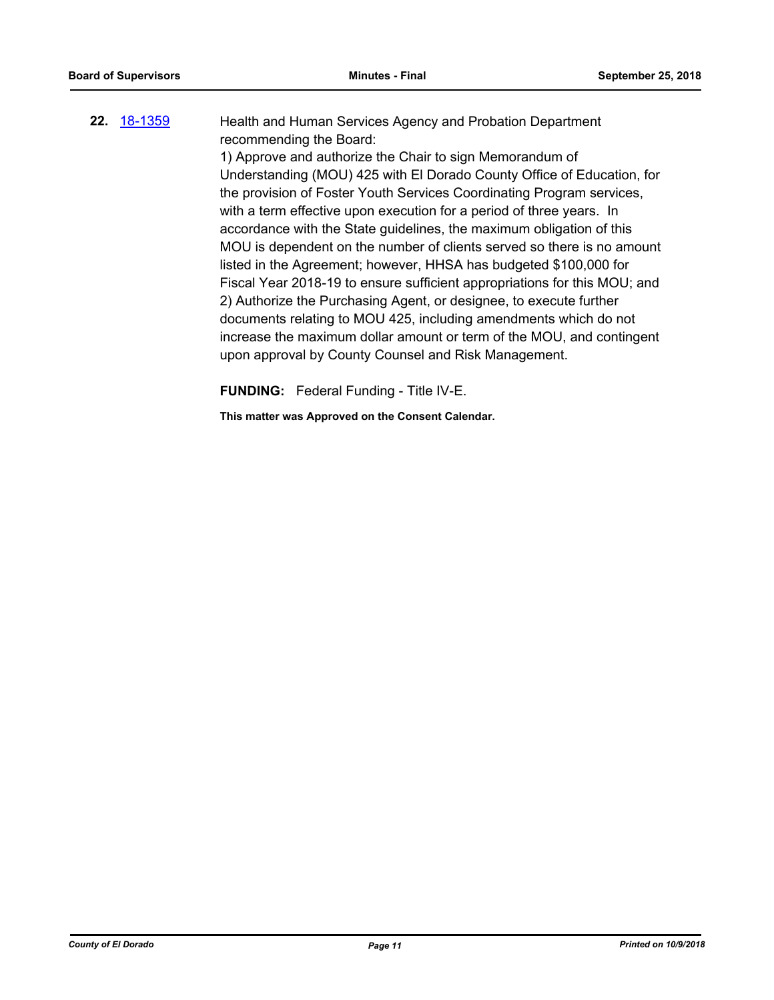# **22.** [18-1359](http://eldorado.legistar.com/gateway.aspx?m=l&id=/matter.aspx?key=24711) Health and Human Services Agency and Probation Department recommending the Board: 1) Approve and authorize the Chair to sign Memorandum of Understanding (MOU) 425 with El Dorado County Office of Education, for the provision of Foster Youth Services Coordinating Program services, with a term effective upon execution for a period of three years. In accordance with the State guidelines, the maximum obligation of this MOU is dependent on the number of clients served so there is no amount listed in the Agreement; however, HHSA has budgeted \$100,000 for Fiscal Year 2018-19 to ensure sufficient appropriations for this MOU; and 2) Authorize the Purchasing Agent, or designee, to execute further documents relating to MOU 425, including amendments which do not

increase the maximum dollar amount or term of the MOU, and contingent upon approval by County Counsel and Risk Management.

**FUNDING:** Federal Funding - Title IV-E.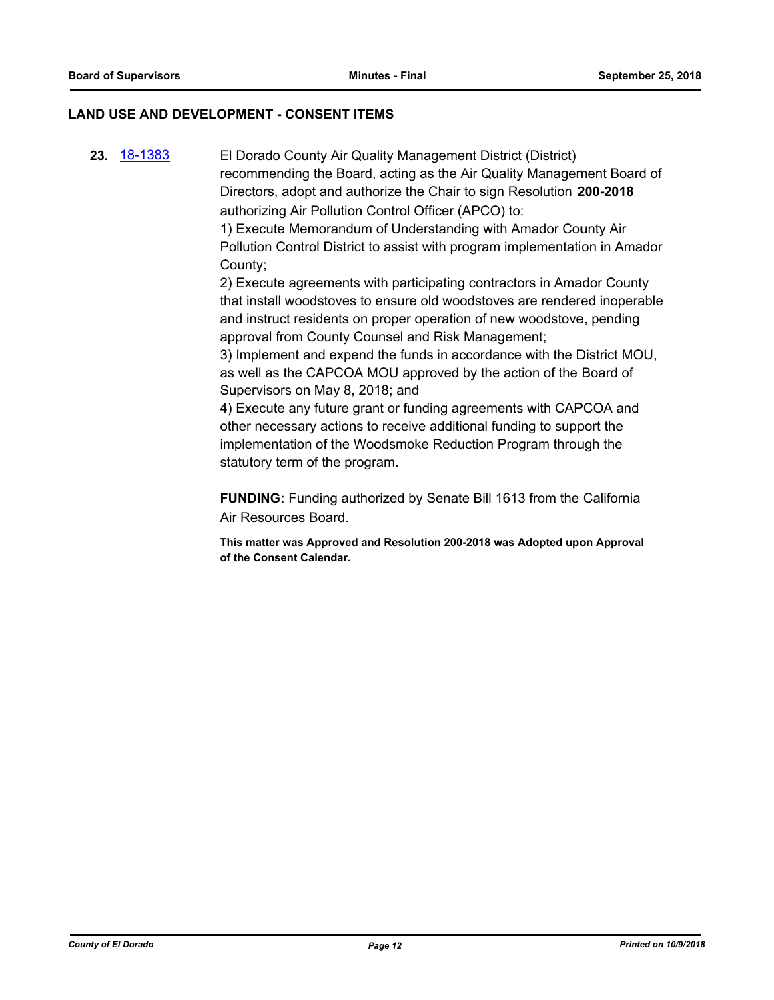#### **LAND USE AND DEVELOPMENT - CONSENT ITEMS**

**23.** [18-1383](http://eldorado.legistar.com/gateway.aspx?m=l&id=/matter.aspx?key=24735) El Dorado County Air Quality Management District (District) recommending the Board, acting as the Air Quality Management Board of Directors, adopt and authorize the Chair to sign Resolution **200-2018**  authorizing Air Pollution Control Officer (APCO) to:

1) Execute Memorandum of Understanding with Amador County Air Pollution Control District to assist with program implementation in Amador County;

2) Execute agreements with participating contractors in Amador County that install woodstoves to ensure old woodstoves are rendered inoperable and instruct residents on proper operation of new woodstove, pending approval from County Counsel and Risk Management;

3) Implement and expend the funds in accordance with the District MOU, as well as the CAPCOA MOU approved by the action of the Board of Supervisors on May 8, 2018; and

4) Execute any future grant or funding agreements with CAPCOA and other necessary actions to receive additional funding to support the implementation of the Woodsmoke Reduction Program through the statutory term of the program.

**FUNDING:** Funding authorized by Senate Bill 1613 from the California Air Resources Board.

**This matter was Approved and Resolution 200-2018 was Adopted upon Approval of the Consent Calendar.**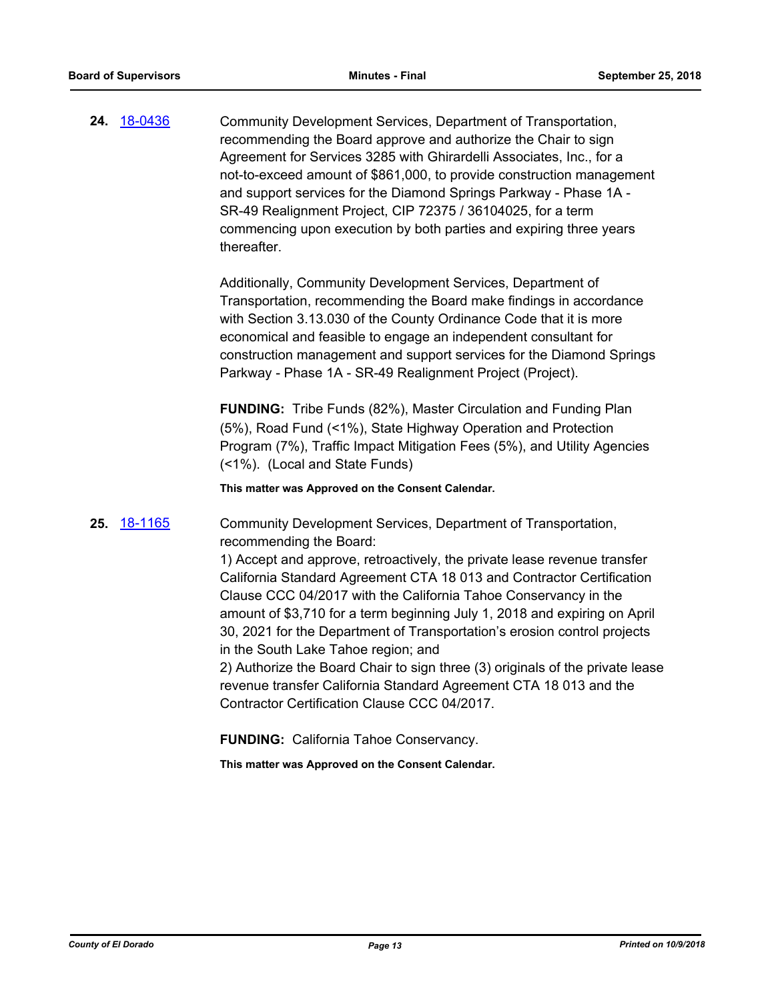**24.** [18-0436](http://eldorado.legistar.com/gateway.aspx?m=l&id=/matter.aspx?key=23781) Community Development Services, Department of Transportation, recommending the Board approve and authorize the Chair to sign Agreement for Services 3285 with Ghirardelli Associates, Inc., for a not-to-exceed amount of \$861,000, to provide construction management and support services for the Diamond Springs Parkway - Phase 1A - SR-49 Realignment Project, CIP 72375 / 36104025, for a term commencing upon execution by both parties and expiring three years thereafter.

> Additionally, Community Development Services, Department of Transportation, recommending the Board make findings in accordance with Section 3.13.030 of the County Ordinance Code that it is more economical and feasible to engage an independent consultant for construction management and support services for the Diamond Springs Parkway - Phase 1A - SR-49 Realignment Project (Project).

**FUNDING:** Tribe Funds (82%), Master Circulation and Funding Plan (5%), Road Fund (<1%), State Highway Operation and Protection Program (7%), Traffic Impact Mitigation Fees (5%), and Utility Agencies (<1%). (Local and State Funds)

**This matter was Approved on the Consent Calendar.**

**25.** [18-1165](http://eldorado.legistar.com/gateway.aspx?m=l&id=/matter.aspx?key=24515) Community Development Services, Department of Transportation, recommending the Board:

> 1) Accept and approve, retroactively, the private lease revenue transfer California Standard Agreement CTA 18 013 and Contractor Certification Clause CCC 04/2017 with the California Tahoe Conservancy in the amount of \$3,710 for a term beginning July 1, 2018 and expiring on April 30, 2021 for the Department of Transportation's erosion control projects in the South Lake Tahoe region; and

2) Authorize the Board Chair to sign three (3) originals of the private lease revenue transfer California Standard Agreement CTA 18 013 and the Contractor Certification Clause CCC 04/2017.

**FUNDING:** California Tahoe Conservancy.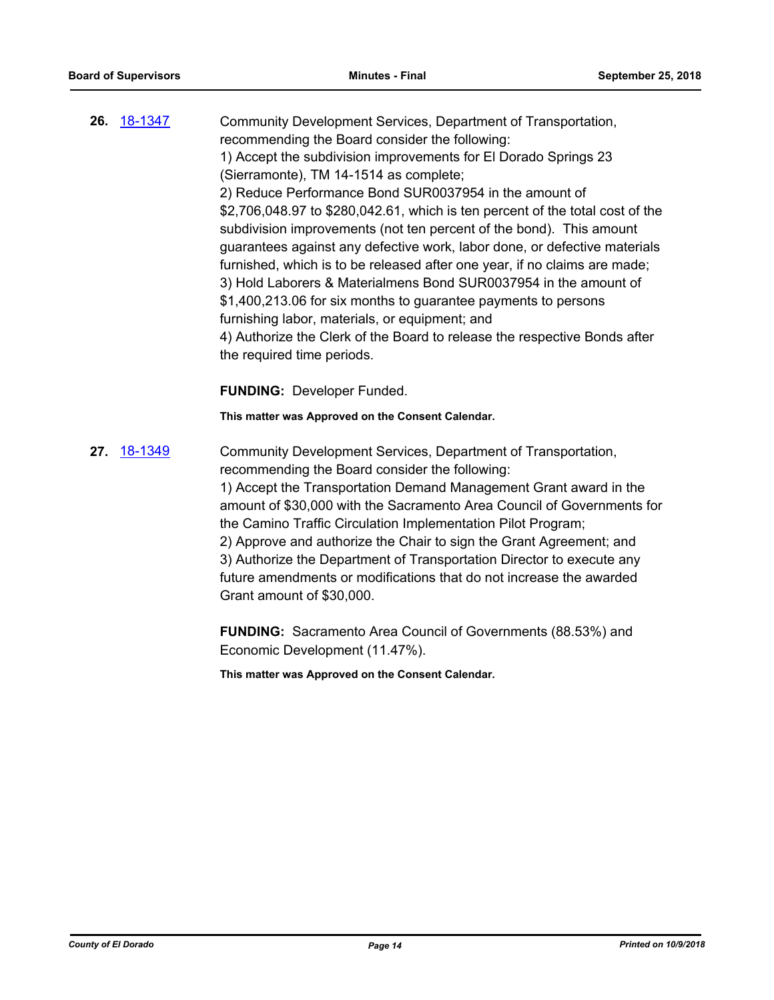- **26.** [18-1347](http://eldorado.legistar.com/gateway.aspx?m=l&id=/matter.aspx?key=24698) Community Development Services, Department of Transportation, recommending the Board consider the following: 1) Accept the subdivision improvements for El Dorado Springs 23 (Sierramonte), TM 14-1514 as complete; 2) Reduce Performance Bond SUR0037954 in the amount of \$2,706,048.97 to \$280,042.61, which is ten percent of the total cost of the subdivision improvements (not ten percent of the bond). This amount guarantees against any defective work, labor done, or defective materials furnished, which is to be released after one year, if no claims are made; 3) Hold Laborers & Materialmens Bond SUR0037954 in the amount of \$1,400,213.06 for six months to guarantee payments to persons furnishing labor, materials, or equipment; and 4) Authorize the Clerk of the Board to release the respective Bonds after the required time periods. **FUNDING:** Developer Funded. **This matter was Approved on the Consent Calendar.**
- **27.** [18-1349](http://eldorado.legistar.com/gateway.aspx?m=l&id=/matter.aspx?key=24700) Community Development Services, Department of Transportation, recommending the Board consider the following: 1) Accept the Transportation Demand Management Grant award in the amount of \$30,000 with the Sacramento Area Council of Governments for the Camino Traffic Circulation Implementation Pilot Program; 2) Approve and authorize the Chair to sign the Grant Agreement; and 3) Authorize the Department of Transportation Director to execute any future amendments or modifications that do not increase the awarded Grant amount of \$30,000.

**FUNDING:** Sacramento Area Council of Governments (88.53%) and Economic Development (11.47%).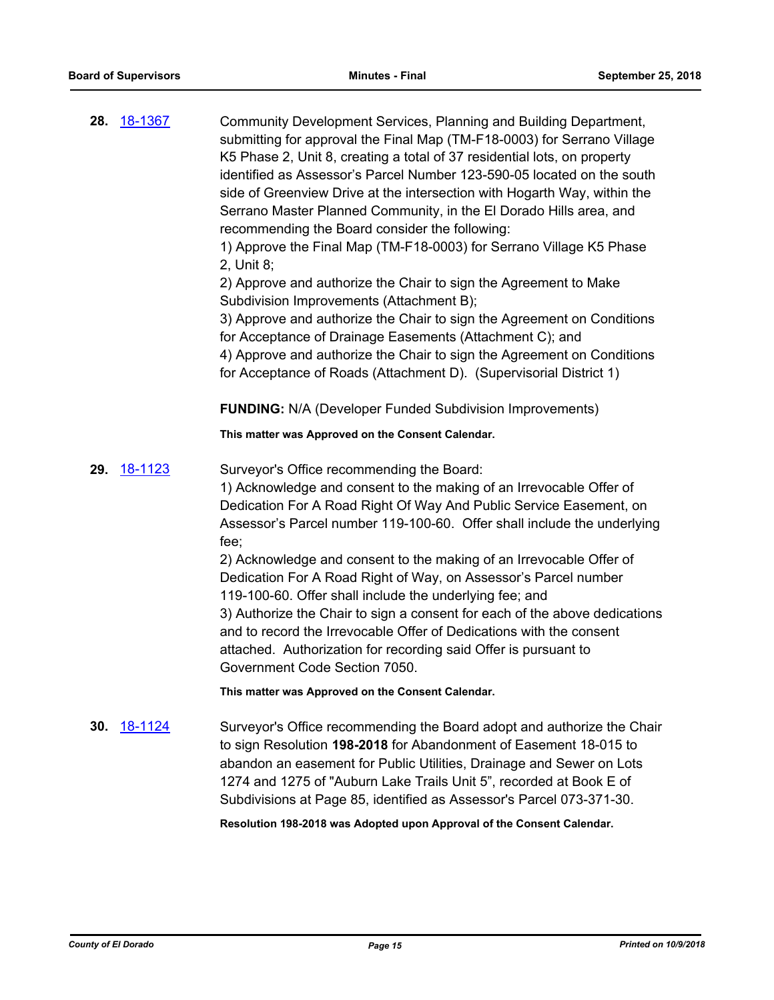|     | <b>28. 18-1367</b> | Community Development Services, Planning and Building Department,<br>submitting for approval the Final Map (TM-F18-0003) for Serrano Village<br>K5 Phase 2, Unit 8, creating a total of 37 residential lots, on property<br>identified as Assessor's Parcel Number 123-590-05 located on the south<br>side of Greenview Drive at the intersection with Hogarth Way, within the<br>Serrano Master Planned Community, in the El Dorado Hills area, and<br>recommending the Board consider the following:<br>1) Approve the Final Map (TM-F18-0003) for Serrano Village K5 Phase<br>2, Unit 8;<br>2) Approve and authorize the Chair to sign the Agreement to Make                                                                            |
|-----|--------------------|--------------------------------------------------------------------------------------------------------------------------------------------------------------------------------------------------------------------------------------------------------------------------------------------------------------------------------------------------------------------------------------------------------------------------------------------------------------------------------------------------------------------------------------------------------------------------------------------------------------------------------------------------------------------------------------------------------------------------------------------|
|     |                    | Subdivision Improvements (Attachment B);<br>3) Approve and authorize the Chair to sign the Agreement on Conditions<br>for Acceptance of Drainage Easements (Attachment C); and<br>4) Approve and authorize the Chair to sign the Agreement on Conditions<br>for Acceptance of Roads (Attachment D). (Supervisorial District 1)                                                                                                                                                                                                                                                                                                                                                                                                             |
|     |                    | <b>FUNDING:</b> N/A (Developer Funded Subdivision Improvements)                                                                                                                                                                                                                                                                                                                                                                                                                                                                                                                                                                                                                                                                            |
|     |                    | This matter was Approved on the Consent Calendar.                                                                                                                                                                                                                                                                                                                                                                                                                                                                                                                                                                                                                                                                                          |
| 29. | 18-1123            | Surveyor's Office recommending the Board:<br>1) Acknowledge and consent to the making of an Irrevocable Offer of<br>Dedication For A Road Right Of Way And Public Service Easement, on<br>Assessor's Parcel number 119-100-60. Offer shall include the underlying<br>$fee$ ;<br>2) Acknowledge and consent to the making of an Irrevocable Offer of<br>Dedication For A Road Right of Way, on Assessor's Parcel number<br>119-100-60. Offer shall include the underlying fee; and<br>3) Authorize the Chair to sign a consent for each of the above dedications<br>and to record the Irrevocable Offer of Dedications with the consent<br>attached. Authorization for recording said Offer is pursuant to<br>Government Code Section 7050. |
|     |                    | This matter was Approved on the Consent Calendar.                                                                                                                                                                                                                                                                                                                                                                                                                                                                                                                                                                                                                                                                                          |
| 30. | <u>18-1124</u>     | Surveyor's Office recommending the Board adopt and authorize the Chair<br>to sign Resolution 198-2018 for Abandonment of Easement 18-015 to<br>abandon an easement for Public Utilities, Drainage and Sewer on Lots<br>1274 and 1275 of "Auburn Lake Trails Unit 5", recorded at Book E of<br>Subdivisions at Page 85, identified as Assessor's Parcel 073-371-30.                                                                                                                                                                                                                                                                                                                                                                         |

**Resolution 198-2018 was Adopted upon Approval of the Consent Calendar.**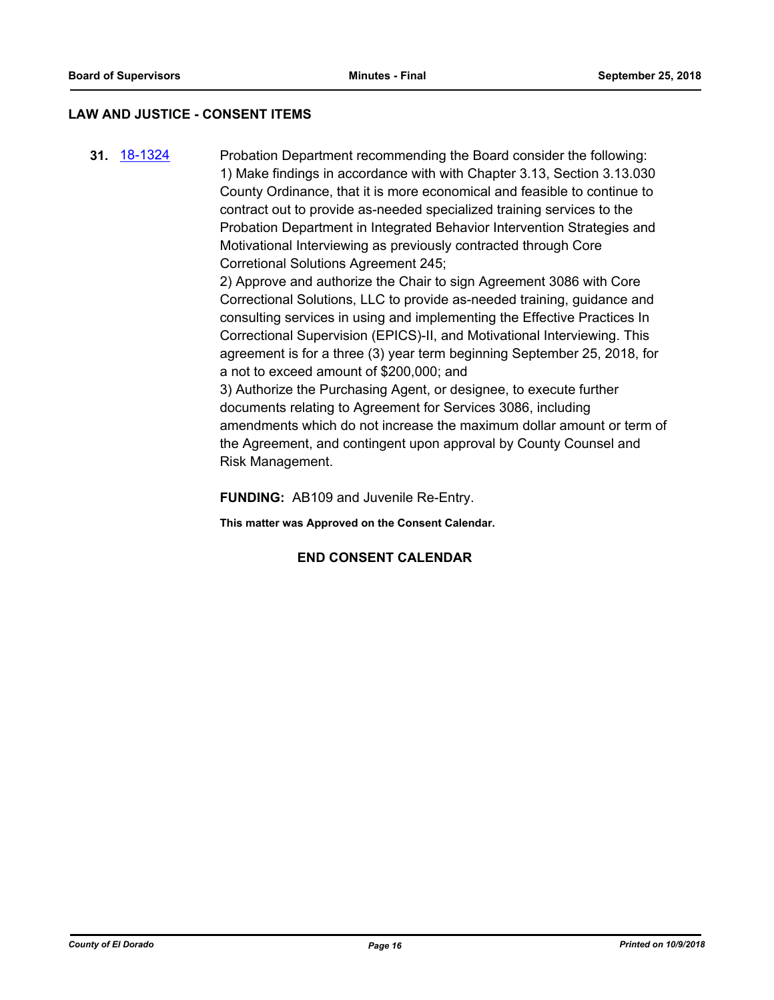#### **LAW AND JUSTICE - CONSENT ITEMS**

**31.** [18-1324](http://eldorado.legistar.com/gateway.aspx?m=l&id=/matter.aspx?key=24675) Probation Department recommending the Board consider the following: 1) Make findings in accordance with with Chapter 3.13, Section 3.13.030 County Ordinance, that it is more economical and feasible to continue to contract out to provide as-needed specialized training services to the Probation Department in Integrated Behavior Intervention Strategies and Motivational Interviewing as previously contracted through Core Corretional Solutions Agreement 245;

> 2) Approve and authorize the Chair to sign Agreement 3086 with Core Correctional Solutions, LLC to provide as-needed training, guidance and consulting services in using and implementing the Effective Practices In Correctional Supervision (EPICS)-II, and Motivational Interviewing. This agreement is for a three (3) year term beginning September 25, 2018, for a not to exceed amount of \$200,000; and

3) Authorize the Purchasing Agent, or designee, to execute further documents relating to Agreement for Services 3086, including amendments which do not increase the maximum dollar amount or term of the Agreement, and contingent upon approval by County Counsel and Risk Management.

**FUNDING:** AB109 and Juvenile Re-Entry.

**This matter was Approved on the Consent Calendar.**

#### **END CONSENT CALENDAR**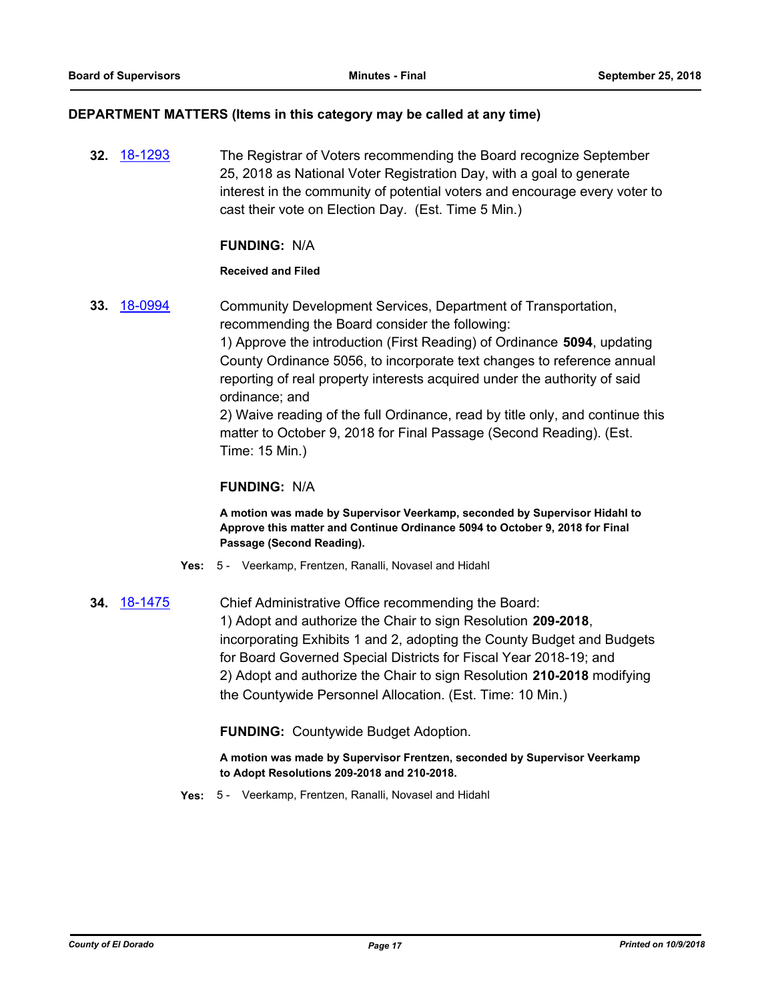#### **DEPARTMENT MATTERS (Items in this category may be called at any time)**

**32.** [18-1293](http://eldorado.legistar.com/gateway.aspx?m=l&id=/matter.aspx?key=24644) The Registrar of Voters recommending the Board recognize September 25, 2018 as National Voter Registration Day, with a goal to generate interest in the community of potential voters and encourage every voter to cast their vote on Election Day. (Est. Time 5 Min.)

#### **FUNDING:** N/A

#### **Received and Filed**

**33.** [18-0994](http://eldorado.legistar.com/gateway.aspx?m=l&id=/matter.aspx?key=24343) Community Development Services, Department of Transportation, recommending the Board consider the following: 1) Approve the introduction (First Reading) of Ordinance **5094**, updating County Ordinance 5056, to incorporate text changes to reference annual reporting of real property interests acquired under the authority of said ordinance; and 2) Waive reading of the full Ordinance, read by title only, and continue this matter to October 9, 2018 for Final Passage (Second Reading). (Est.

Time: 15 Min.)

#### **FUNDING:** N/A

**A motion was made by Supervisor Veerkamp, seconded by Supervisor Hidahl to Approve this matter and Continue Ordinance 5094 to October 9, 2018 for Final Passage (Second Reading).**

- **Yes:** 5 Veerkamp, Frentzen, Ranalli, Novasel and Hidahl
- **34.** [18-1475](http://eldorado.legistar.com/gateway.aspx?m=l&id=/matter.aspx?key=24826) Chief Administrative Office recommending the Board: 1) Adopt and authorize the Chair to sign Resolution **209-2018**, incorporating Exhibits 1 and 2, adopting the County Budget and Budgets for Board Governed Special Districts for Fiscal Year 2018-19; and 2) Adopt and authorize the Chair to sign Resolution **210-2018** modifying the Countywide Personnel Allocation. (Est. Time: 10 Min.)

**FUNDING:** Countywide Budget Adoption.

**A motion was made by Supervisor Frentzen, seconded by Supervisor Veerkamp to Adopt Resolutions 209-2018 and 210-2018.**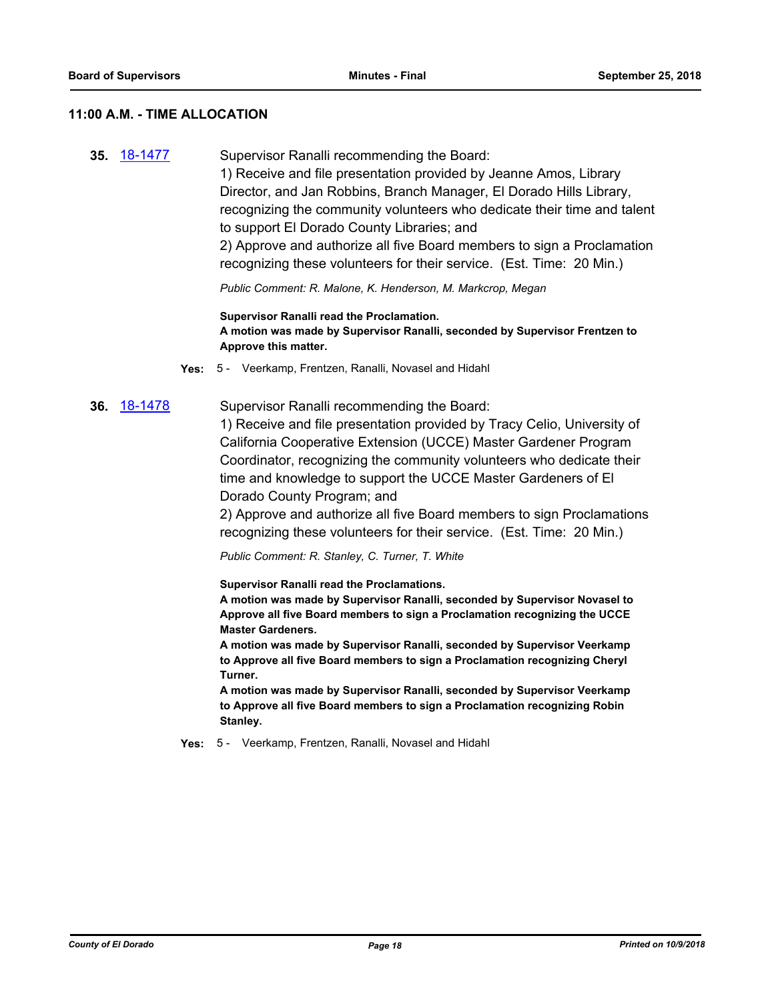#### **11:00 A.M. - TIME ALLOCATION**

**35.** [18-1477](http://eldorado.legistar.com/gateway.aspx?m=l&id=/matter.aspx?key=24828) Supervisor Ranalli recommending the Board: 1) Receive and file presentation provided by Jeanne Amos, Library Director, and Jan Robbins, Branch Manager, El Dorado Hills Library, recognizing the community volunteers who dedicate their time and talent to support El Dorado County Libraries; and 2) Approve and authorize all five Board members to sign a Proclamation recognizing these volunteers for their service. (Est. Time: 20 Min.)

*Public Comment: R. Malone, K. Henderson, M. Markcrop, Megan*

**Supervisor Ranalli read the Proclamation. A motion was made by Supervisor Ranalli, seconded by Supervisor Frentzen to Approve this matter.**

- **Yes:** 5 Veerkamp, Frentzen, Ranalli, Novasel and Hidahl
- **36.** [18-1478](http://eldorado.legistar.com/gateway.aspx?m=l&id=/matter.aspx?key=24829) Supervisor Ranalli recommending the Board:

1) Receive and file presentation provided by Tracy Celio, University of California Cooperative Extension (UCCE) Master Gardener Program Coordinator, recognizing the community volunteers who dedicate their time and knowledge to support the UCCE Master Gardeners of El Dorado County Program; and

2) Approve and authorize all five Board members to sign Proclamations recognizing these volunteers for their service. (Est. Time: 20 Min.)

*Public Comment: R. Stanley, C. Turner, T. White*

**Supervisor Ranalli read the Proclamations.**

**A motion was made by Supervisor Ranalli, seconded by Supervisor Novasel to Approve all five Board members to sign a Proclamation recognizing the UCCE Master Gardeners.**

**A motion was made by Supervisor Ranalli, seconded by Supervisor Veerkamp to Approve all five Board members to sign a Proclamation recognizing Cheryl Turner.**

**A motion was made by Supervisor Ranalli, seconded by Supervisor Veerkamp to Approve all five Board members to sign a Proclamation recognizing Robin Stanley.**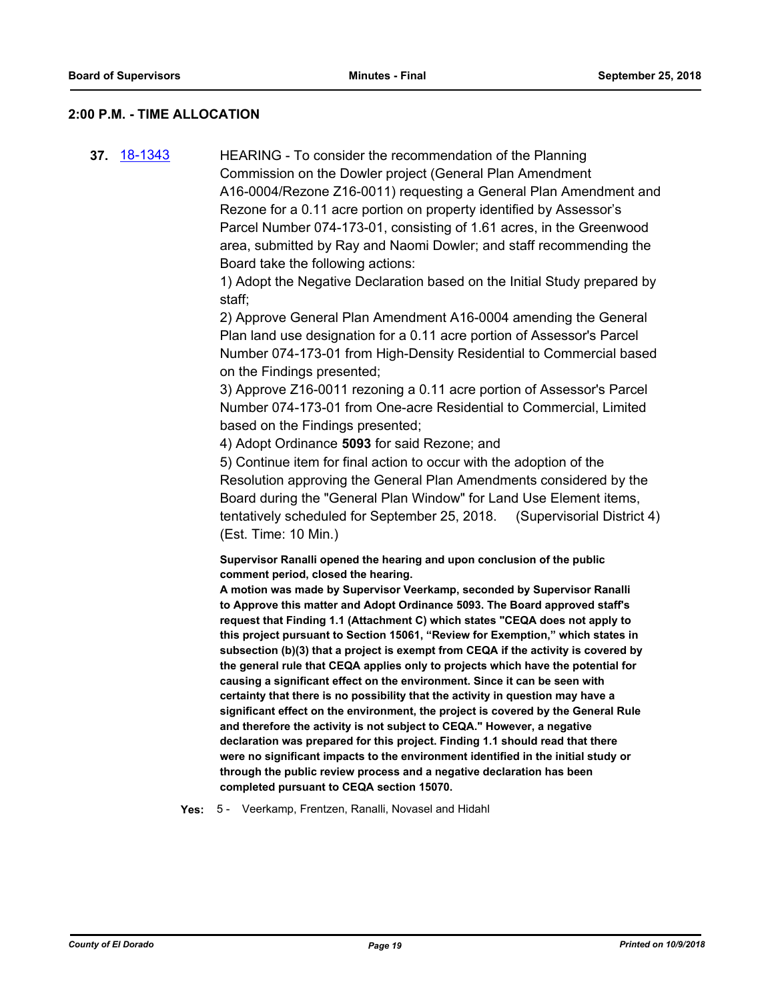#### **2:00 P.M. - TIME ALLOCATION**

**37.** [18-1343](http://eldorado.legistar.com/gateway.aspx?m=l&id=/matter.aspx?key=24694) HEARING - To consider the recommendation of the Planning Commission on the Dowler project (General Plan Amendment A16-0004/Rezone Z16-0011) requesting a General Plan Amendment and Rezone for a 0.11 acre portion on property identified by Assessor's Parcel Number 074-173-01, consisting of 1.61 acres, in the Greenwood area, submitted by Ray and Naomi Dowler; and staff recommending the Board take the following actions:

> 1) Adopt the Negative Declaration based on the Initial Study prepared by staff;

> 2) Approve General Plan Amendment A16-0004 amending the General Plan land use designation for a 0.11 acre portion of Assessor's Parcel Number 074-173-01 from High-Density Residential to Commercial based on the Findings presented;

3) Approve Z16-0011 rezoning a 0.11 acre portion of Assessor's Parcel Number 074-173-01 from One-acre Residential to Commercial, Limited based on the Findings presented;

4) Adopt Ordinance **5093** for said Rezone; and

5) Continue item for final action to occur with the adoption of the Resolution approving the General Plan Amendments considered by the Board during the "General Plan Window" for Land Use Element items, tentatively scheduled for September 25, 2018. (Supervisorial District 4) (Est. Time: 10 Min.)

**Supervisor Ranalli opened the hearing and upon conclusion of the public comment period, closed the hearing.**

**A motion was made by Supervisor Veerkamp, seconded by Supervisor Ranalli to Approve this matter and Adopt Ordinance 5093. The Board approved staff's request that Finding 1.1 (Attachment C) which states "CEQA does not apply to this project pursuant to Section 15061, "Review for Exemption," which states in subsection (b)(3) that a project is exempt from CEQA if the activity is covered by the general rule that CEQA applies only to projects which have the potential for causing a significant effect on the environment. Since it can be seen with certainty that there is no possibility that the activity in question may have a significant effect on the environment, the project is covered by the General Rule and therefore the activity is not subject to CEQA." However, a negative declaration was prepared for this project. Finding 1.1 should read that there were no significant impacts to the environment identified in the initial study or through the public review process and a negative declaration has been completed pursuant to CEQA section 15070.**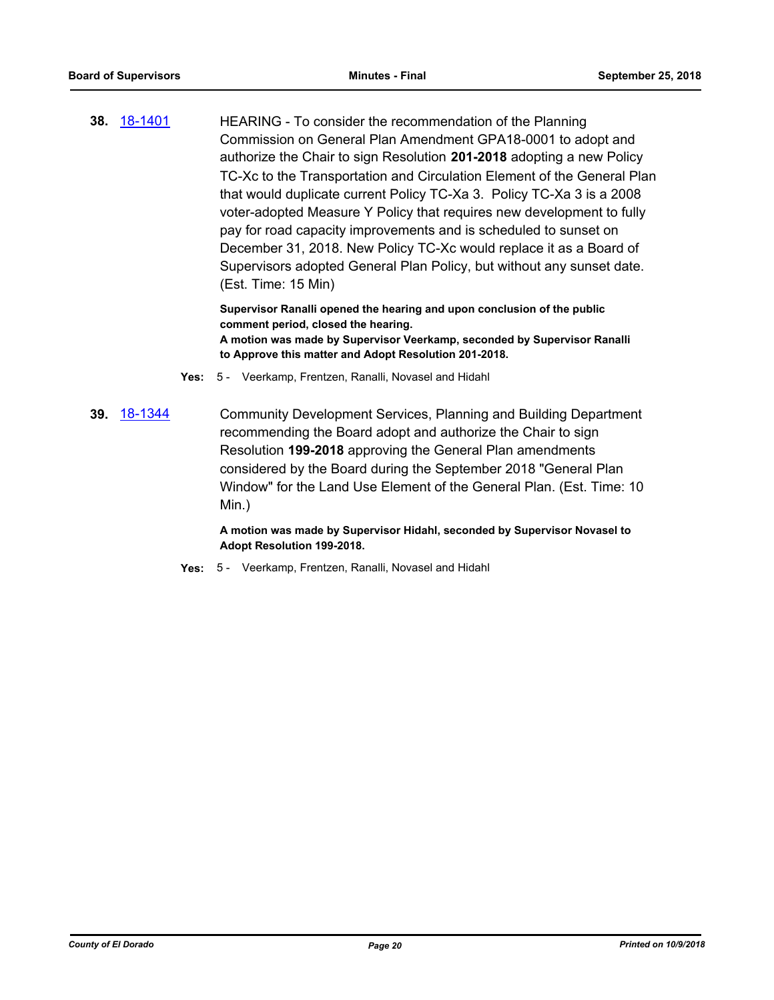**38.** [18-1401](http://eldorado.legistar.com/gateway.aspx?m=l&id=/matter.aspx?key=24753) HEARING - To consider the recommendation of the Planning Commission on General Plan Amendment GPA18-0001 to adopt and authorize the Chair to sign Resolution **201-2018** adopting a new Policy TC-Xc to the Transportation and Circulation Element of the General Plan that would duplicate current Policy TC-Xa 3. Policy TC-Xa 3 is a 2008 voter-adopted Measure Y Policy that requires new development to fully pay for road capacity improvements and is scheduled to sunset on December 31, 2018. New Policy TC-Xc would replace it as a Board of Supervisors adopted General Plan Policy, but without any sunset date. (Est. Time: 15 Min)

> **Supervisor Ranalli opened the hearing and upon conclusion of the public comment period, closed the hearing. A motion was made by Supervisor Veerkamp, seconded by Supervisor Ranalli to Approve this matter and Adopt Resolution 201-2018.**

- **Yes:** 5 Veerkamp, Frentzen, Ranalli, Novasel and Hidahl
- **39.** [18-1344](http://eldorado.legistar.com/gateway.aspx?m=l&id=/matter.aspx?key=24695) Community Development Services, Planning and Building Department recommending the Board adopt and authorize the Chair to sign Resolution **199-2018** approving the General Plan amendments considered by the Board during the September 2018 "General Plan Window" for the Land Use Element of the General Plan. (Est. Time: 10 Min.)

**A motion was made by Supervisor Hidahl, seconded by Supervisor Novasel to Adopt Resolution 199-2018.**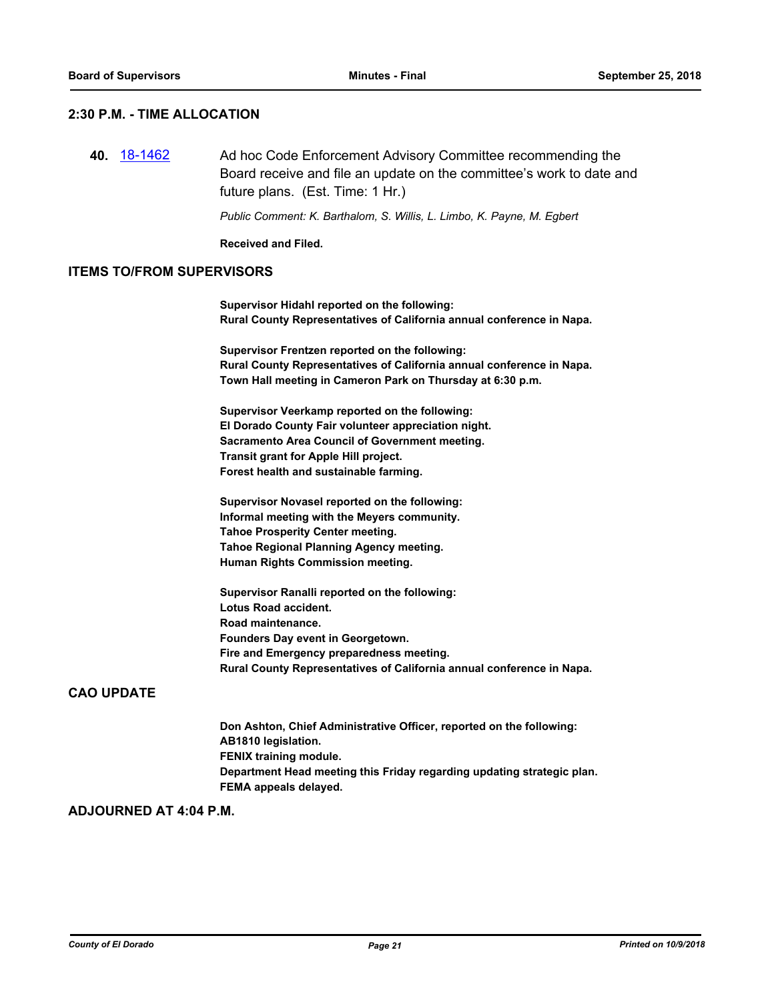#### **2:30 P.M. - TIME ALLOCATION**

**40.** [18-1462](http://eldorado.legistar.com/gateway.aspx?m=l&id=/matter.aspx?key=24814) Ad hoc Code Enforcement Advisory Committee recommending the Board receive and file an update on the committee's work to date and future plans. (Est. Time: 1 Hr.)

*Public Comment: K. Barthalom, S. Willis, L. Limbo, K. Payne, M. Egbert*

**Received and Filed.**

#### **ITEMS TO/FROM SUPERVISORS**

**Supervisor Hidahl reported on the following: Rural County Representatives of California annual conference in Napa.**

**Supervisor Frentzen reported on the following: Rural County Representatives of California annual conference in Napa. Town Hall meeting in Cameron Park on Thursday at 6:30 p.m.**

**Supervisor Veerkamp reported on the following: El Dorado County Fair volunteer appreciation night. Sacramento Area Council of Government meeting. Transit grant for Apple Hill project. Forest health and sustainable farming.**

**Supervisor Novasel reported on the following: Informal meeting with the Meyers community. Tahoe Prosperity Center meeting. Tahoe Regional Planning Agency meeting. Human Rights Commission meeting.**

**Supervisor Ranalli reported on the following: Lotus Road accident. Road maintenance. Founders Day event in Georgetown. Fire and Emergency preparedness meeting. Rural County Representatives of California annual conference in Napa.**

#### **CAO UPDATE**

**Don Ashton, Chief Administrative Officer, reported on the following: AB1810 legislation. FENIX training module. Department Head meeting this Friday regarding updating strategic plan. FEMA appeals delayed.**

#### **ADJOURNED AT 4:04 P.M.**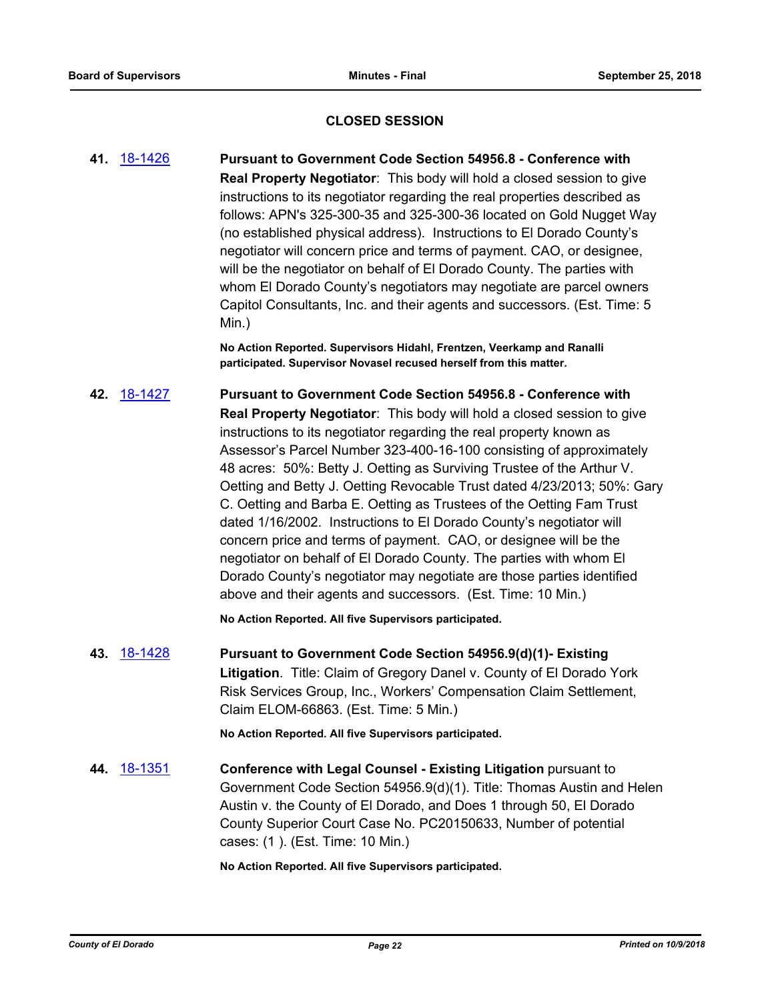### **CLOSED SESSION**

**41.** [18-1426](http://eldorado.legistar.com/gateway.aspx?m=l&id=/matter.aspx?key=24778) **Pursuant to Government Code Section 54956.8 - Conference with Real Property Negotiator**: This body will hold a closed session to give instructions to its negotiator regarding the real properties described as follows: APN's 325-300-35 and 325-300-36 located on Gold Nugget Way (no established physical address). Instructions to El Dorado County's negotiator will concern price and terms of payment. CAO, or designee, will be the negotiator on behalf of El Dorado County. The parties with whom El Dorado County's negotiators may negotiate are parcel owners Capitol Consultants, Inc. and their agents and successors. (Est. Time: 5 Min.)

> **No Action Reported. Supervisors Hidahl, Frentzen, Veerkamp and Ranalli participated. Supervisor Novasel recused herself from this matter.**

**42.** [18-1427](http://eldorado.legistar.com/gateway.aspx?m=l&id=/matter.aspx?key=24779) **Pursuant to Government Code Section 54956.8 - Conference with Real Property Negotiator**: This body will hold a closed session to give instructions to its negotiator regarding the real property known as Assessor's Parcel Number 323-400-16-100 consisting of approximately 48 acres: 50%: Betty J. Oetting as Surviving Trustee of the Arthur V. Oetting and Betty J. Oetting Revocable Trust dated 4/23/2013; 50%: Gary C. Oetting and Barba E. Oetting as Trustees of the Oetting Fam Trust dated 1/16/2002. Instructions to El Dorado County's negotiator will concern price and terms of payment. CAO, or designee will be the negotiator on behalf of El Dorado County. The parties with whom El Dorado County's negotiator may negotiate are those parties identified above and their agents and successors. (Est. Time: 10 Min.)

**No Action Reported. All five Supervisors participated.**

**43.** [18-1428](http://eldorado.legistar.com/gateway.aspx?m=l&id=/matter.aspx?key=24780) **Pursuant to Government Code Section 54956.9(d)(1)- Existing Litigation**. Title: Claim of Gregory Danel v. County of El Dorado York Risk Services Group, Inc., Workers' Compensation Claim Settlement, Claim ELOM-66863. (Est. Time: 5 Min.)

**No Action Reported. All five Supervisors participated.**

**44.** [18-1351](http://eldorado.legistar.com/gateway.aspx?m=l&id=/matter.aspx?key=24703) **Conference with Legal Counsel - Existing Litigation** pursuant to Government Code Section 54956.9(d)(1). Title: Thomas Austin and Helen Austin v. the County of El Dorado, and Does 1 through 50, El Dorado County Superior Court Case No. PC20150633, Number of potential cases: (1 ). (Est. Time: 10 Min.)

**No Action Reported. All five Supervisors participated.**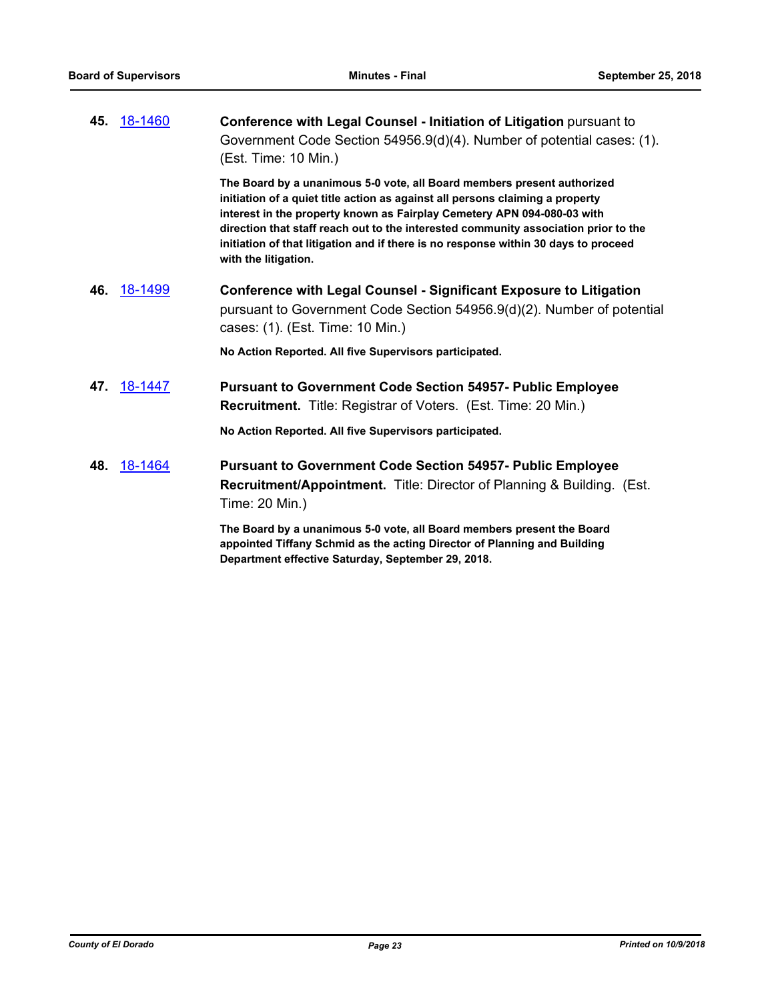| 45. | 18-1460 | Conference with Legal Counsel - Initiation of Litigation pursuant to<br>Government Code Section 54956.9(d)(4). Number of potential cases: (1).<br>(Est. Time: 10 Min.)                                                                                                                                                                                                                                                                    |
|-----|---------|-------------------------------------------------------------------------------------------------------------------------------------------------------------------------------------------------------------------------------------------------------------------------------------------------------------------------------------------------------------------------------------------------------------------------------------------|
|     |         | The Board by a unanimous 5-0 vote, all Board members present authorized<br>initiation of a quiet title action as against all persons claiming a property<br>interest in the property known as Fairplay Cemetery APN 094-080-03 with<br>direction that staff reach out to the interested community association prior to the<br>initiation of that litigation and if there is no response within 30 days to proceed<br>with the litigation. |
| 46. | 18-1499 | <b>Conference with Legal Counsel - Significant Exposure to Litigation</b><br>pursuant to Government Code Section 54956.9(d)(2). Number of potential<br>cases: (1). (Est. Time: 10 Min.)                                                                                                                                                                                                                                                   |
|     |         | No Action Reported. All five Supervisors participated.                                                                                                                                                                                                                                                                                                                                                                                    |
| 47. | 18-1447 | <b>Pursuant to Government Code Section 54957- Public Employee</b><br><b>Recruitment.</b> Title: Registrar of Voters. (Est. Time: 20 Min.)                                                                                                                                                                                                                                                                                                 |
|     |         | No Action Reported. All five Supervisors participated.                                                                                                                                                                                                                                                                                                                                                                                    |
| 48. | 18-1464 | <b>Pursuant to Government Code Section 54957- Public Employee</b><br><b>Recruitment/Appointment.</b> Title: Director of Planning & Building. (Est.<br>Time: 20 Min.)                                                                                                                                                                                                                                                                      |
|     |         | The Board by a unanimous 5-0 vote, all Board members present the Board<br>appointed Tiffany Schmid as the acting Director of Planning and Building<br>Department effective Saturday, September 29, 2018.                                                                                                                                                                                                                                  |